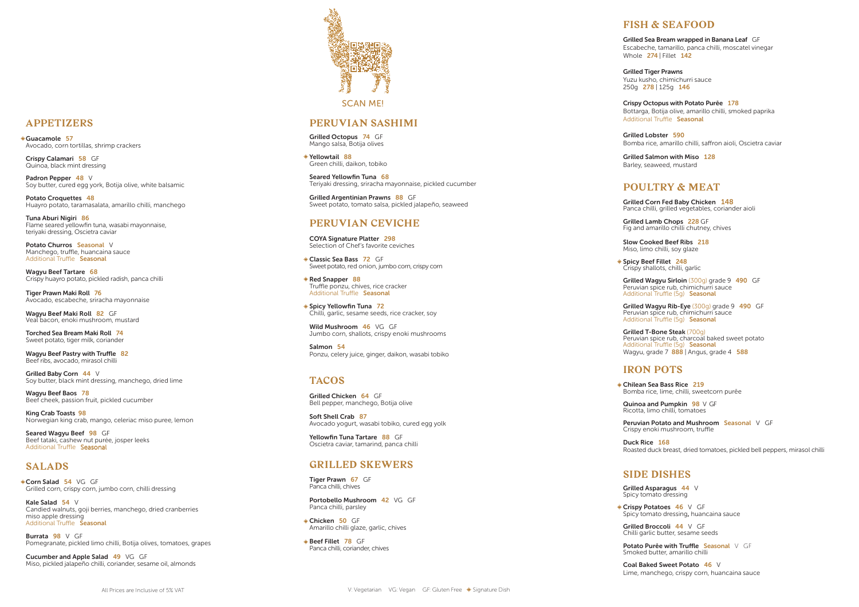#### **APPETIZERS**

Guacamole 57 Avocado, corn tortillas, shrimp crackers

Crispy Calamari 58 GF Quinoa, black mint dressing

Padron Pepper 48 V Soy butter, cured egg york, Botija olive, white balsamic

Potato Croquettes 48 Huayro potato, taramasalata, amarillo chilli, manchego

Potato Churros Seasonal V Manchego, truffle, huancaina sauce Additional Truffle Seasonal

Tuna Aburi Nigiri 86 Flame seared yellowfin tuna, wasabi mayonnaise, teriyaki dressing, Oscietra caviar

Wagyu Beef Maki Roll 82 GF Veal bacon, enoki mushroom, mustard

Wagyu Beef Tartare 68 Crispy huayro potato, pickled radish, panca chilli

Tiger Prawn Maki Roll 76 Avocado, escabeche, sriracha mayonnaise

Corn Salad 54 VG GF Grilled corn, crispy corn, jumbo corn, chilli dressing

Kale Salad 54 V Candied walnuts, goji berries, manchego, dried cranberries miso apple dressing Additional Truffle Seasonal

Torched Sea Bream Maki Roll 74 Sweet potato, tiger milk, coriander

Wagyu Beef Pastry with Truffle 82 Beef ribs, avocado, mirasol chilli

Grilled Baby Corn 44 V Soy butter, black mint dressing, manchego, dried lime Grilled Argentinian Prawns 88 GF Sweet potato, tomato salsa, pickled jalapeño, seaweed

Wagyu Beef Baos 78 Beef cheek, passion fruit, pickled cucumber Classic Sea Bass 72 GF Sweet potato, red onion, jumbo corn, crispy corn

King Crab Toasts 98 Norwegian king crab, mango, celeriac miso puree, lemon Spicy Yellowfin Tuna 72 Chilli, garlic, sesame seeds, rice cracker, soy

Seared Wagyu Beef 98 GF Beef tataki, cashew nut purée, josper leeks Additional Truffle Seasonal

Wild Mushroom 46 VG GF Jumbo corn, shallots, crispy enoki mushrooms

#### **SALADS**

Yellowfin Tuna Tartare 88 GF Oscietra caviar, tamarind, panca chilli

Portobello Mushroom 42 VG GF Panca chilli, parsley

Grilled Sea Bream wrapped in Banana Leaf GF Escabeche, tamarillo, panca chilli, moscatel vinegar Whole 274 | Fillet 142

Burrata 98 V GF Pomegranate, pickled limo chilli, Botija olives, tomatoes, grapes Grilled Tiger Prawns Yuzu kusho, chimichurri sauce 250g 278 | 125g 146

Crispy Octopus with Potato Purēe 178 Bottarga, Botija olive, amarillo chilli, smoked paprika Additional Truffle **Seasonal** 

Cucumber and Apple Salad 49 VG GF Miso, pickled jalapeño chilli, coriander, sesame oil, almonds



### **PERUVIAN SASHIMI**

Grilled Octopus 74 GF Mango salsa, Botija olives

Yellowtail 88 Green chilli, daikon, tobiko

Seared Yellowfin Tuna 68 Teriyaki dressing, sriracha mayonnaise, pickled cucumber

#### **PERUVIAN CEVICHE**

Grilled T-Bone Steak (700g) Peruvian spice rub, charcoal baked sweet potato Additional Truffle (5q) Seasonal Wagyu, grade 7 888 | Angus, grade 4 588

COYA Signature Platter 298 Selection of Chef's favorite ceviches

> Quinoa and Pumpkin 98 V GF Ricotta, limo chilli, tomatoes

Red Snapper 88 Truffle ponzu, chives, rice cracker Additional Truffle Seasonal

> Crispy Potatoes 46 V GF Spicy tomato dressing , huancaina sauce

Potato Purēe with Truffle Seasonal V GF Smoked butter, amarillo chilli

Salmon 54 Ponzu, celery juice, ginger, daikon, wasabi tobiko

### **TACOS**

Grilled Chicken 64 GF Bell pepper, manchego, Botija olive

Soft Shell Crab 87 Avocado yogurt, wasabi tobiko, cured egg yolk

### **GRILLED SKEWERS**

Tiger Prawn 67 GF Panca chilli, chives

Chicken 50 GF Amarillo chilli glaze, garlic, chives

Beef Fillet 78 GF Panca chilli, coriander, chives

### **FISH & SEAFOOD**

Grilled Lobster 590 Bomba rice, amarillo chilli, saffron aioli, Oscietra caviar

Grilled Salmon with Miso 128 Barley, seaweed, mustard

# **POULTRY & MEAT**

Grilled Corn Fed Baby Chicken 148 Panca chilli, grilled vegetables, coriander aioli

Grilled Lamb Chops 228 GF Fig and amarillo chilli chutney, chives

Slow Cooked Beef Ribs 218 Miso, limo chilli, soy glaze

Spicy Beef Fillet 248 Crispy shallots, chilli, garlic

Grilled Wagyu Sirloin (300g) grade 9 490 GF Peruvian spice rub, chimichurri sauce Additional Truffle (5g) Seasonal

Grilled Wagyu Rib-Eye (300g) grade 9 490 GF Peruvian spice rub, chimichurri sauce Additional Truffle (5g) Seasonal

### **IRON POTS**

Chilean Sea Bass Rice 219 Bomba rice, lime, chilli, sweetcorn purēe

Peruvian Potato and Mushroom Seasonal V GF Crispy enoki mushroom, truffle

Duck Rice 168 Roasted duck breast, dried tomatoes, pickled bell peppers, mirasol chilli

## **SIDE DISHES**

Grilled Asparagus 44 V Spicy tomato dressing

Grilled Broccoli 44 V GF Chilli garlic butter, sesame seeds

Coal Baked Sweet Potato 46 V Lime, manchego, crispy corn, huancaina sauce

SCAN ME!